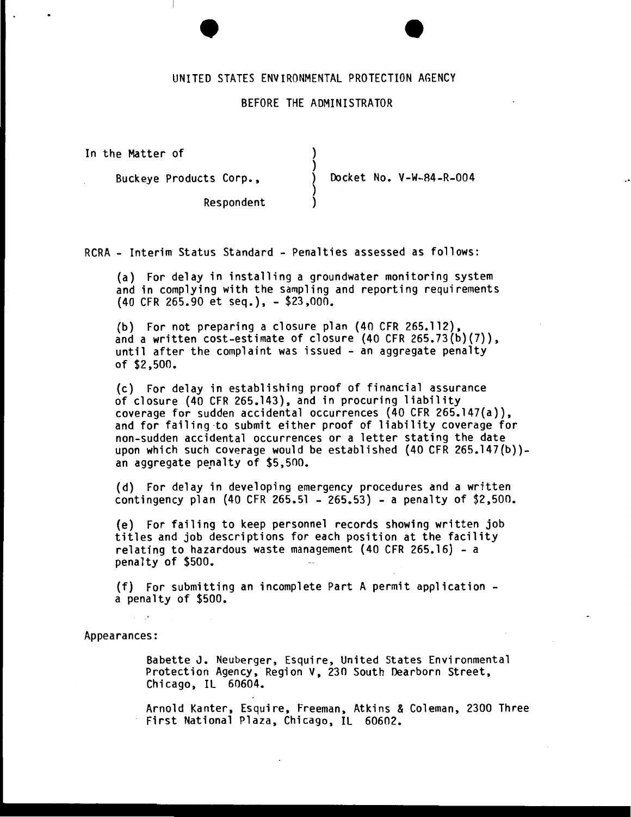## UNITED STATES ENVIRONMENTAL PROTECTION AGENCY

#### BEFORE THE ADMINISTRATOR

) )

~ )

In the Matter of

Buckeye Products Corp.,

Docket No. V-W-84-R-004

Respondent

RCRA- Interim Status Standard - Penalties assessed as follows:

(a) For delay in installing a groundwater monitoring system and in complying with the sampling and reporting requirements {40 CFR 265.90 et seq.), - \$23,000.

(b) For not preparing a closure plan (40 CFR 265.112), and a written cost-estimate of closure  $(40 \text{ CFR } 265.73(b)(7))$ , until after the complaint was issued - an aggregate penalty of \$2,500.

(c) For delay in establishing proof of financial assurance of closure (40 CFR 265.143), and in procuring liability coverage for sudden accidental occurrences  $(40 \text{ CFR } 265.147(a)),$ and for failing ·to submit either proof of liability coverage for non-sudden accidental occurrences or a letter stating the date upon which such coverage would be established (40 CFR 265.147(b)) an aggregate penalty of \$5,500.

(d) For delay in developing emergency procedures and a written contingency plan (40 CFR 265.51 - 265.53) - a penalty of \$2,500.

(e) For failing to keep personnel records showing written job titles and job descriptions for each position at the facility relating to hazardous waste management (40 CFR 265.16) -a penalty of \$500.

(f) For submitting an incomplete Part A permit application - a penalty of \$500.

Appearances:

Babette J. Neuberger, Esquire, United States Environmental Protection Agency, Region V, 230 South Dearborn Street, Chicago, IL 60604.

Arnold Kanter, Esquire, Freeman, Atkins & Coleman, 2300 Three First National Plaza, Chicago, IL 60602.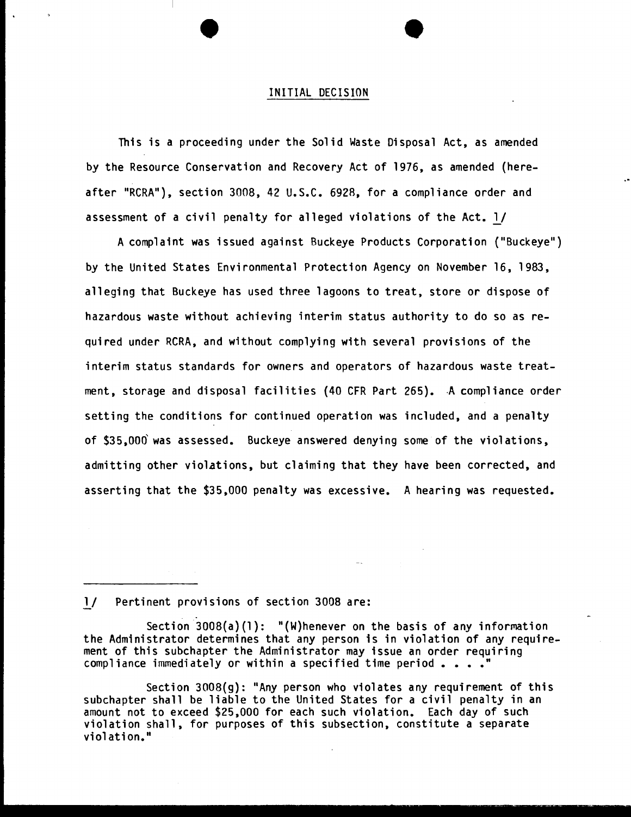#### INITIAL DECISION

This is a proceeding under the Solid Waste Disposal Act, as amended by the Resource Conservation and Recovery Act of 1976, as amended (hereafter "RCRA"), section 3008, 42 U.S.C. 692R, for a compliance order and assessment of a civil penalty for alleged violations of the Act. l/

A complaint was issued against Buckeye Products Corporation ("Buckeye") by the United States Environmental Protection Agency on November 16, 1983, alleging that Buckeye has used three lagoons to treat, store or dispose of hazardous waste without achieving interim status authority to do so as required under RCRA, and without complying with several provisions of the interim status standards for owners and operators of hazardous waste treatment, storage and disposal facilities (40 CFR Part 265). A compliance order setting the conditions for continued operation was included, and a penalty of \$35,006 was assessed. Buckeye answered denying some of the violations, admitting other violations, but claiming that they have been corrected, and asserting that the \$35,000 penalty was excessive. A hearing was requested.

### l/ Pertinent provisions of section 3008 are:

Section 3008(a)(l): "(W)henever on the basis of any information the Administrator determines that any person is in violation of any requirement of this subchapter the Administrator may issue an order requiring compliance immediately or within a specified time period  $\ldots$ .

Section 3008(g): "Any person who violates any requirement of this subchapter shall be liable to the United States for a civil penalty in an amount not to exceed \$25,000 for each such violation. Each day of such violation shall, for purposes of this subsection, constitute a separate violation."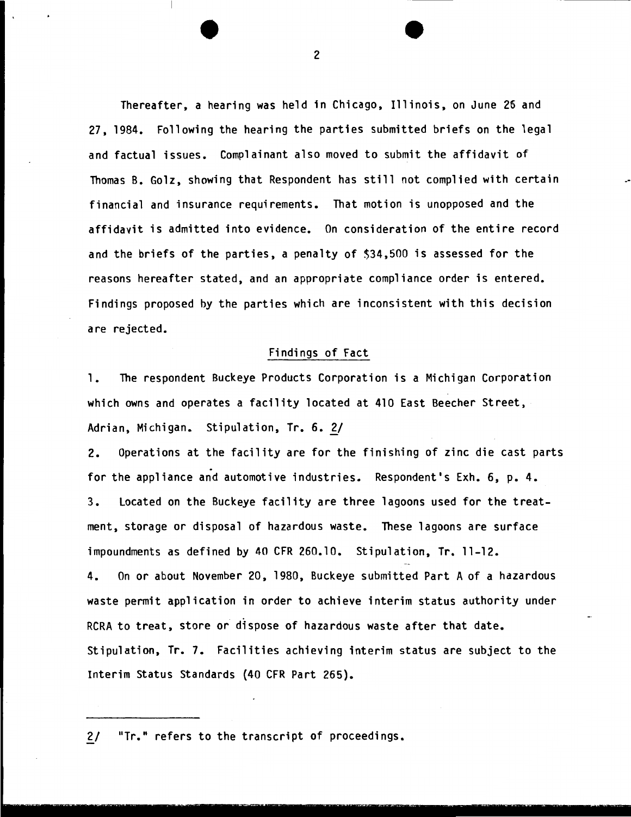Thereafter, a hearing was held in Chicago, Illinois, on June 26 and 27, 1984. Following the hearing the parties submitted briefs on the legal and factual issues. Complainant also moved to submit the affidavit of Thomas B. Golz, showing that Respondent has still not complied with certain financial and insurance requirements. That motion is unopposed and the affidavit is admitted into evidence. On consideration of the entire record and the briefs of the parties, a penalty of \$34,500 is assessed for the reasons hereafter stated, and an appropriate compliance order is entered. Findings proposed by the parties which are inconsistent with this decision are rejected.

## Findings of Fact

1. The respondent Buckeye Products Corporation is a Michigan Corporation which owns and operates a facility located at 410 East Beecher Street, Adrian, Michigan. Stipulation, Tr. 6. *£!* 

2. Operations at the facility are for the finishing of zinc die cast parts for the appliance and automotive industries. Respondent's Exh. 6, p. 4. 3. Located on the Buckeye facility are three lagoons used for the treatment, storage or disposal of hazardous waste. These lagoons are surface impoundments as defined by 40 CFR 260.10. Stipulation, Tr. ll-12.

4. On or about November 20, 1980, Buckeye submitted Part A of a hazardous waste permit application in order to achieve interim status authority under RCRA to treat, store or dispose of hazardous waste after that date. Stipulation, Tr. 7. Facilities achieving interim status are subject to the Interim Status Standards {40 CFR Part 265).

<sup>~</sup>. - . . . - .. - -- . ... - ~. .. . - - - . ·- .. . - - ... - .. . .. -'

2/ "Tr." refers to the transcript of proceedings.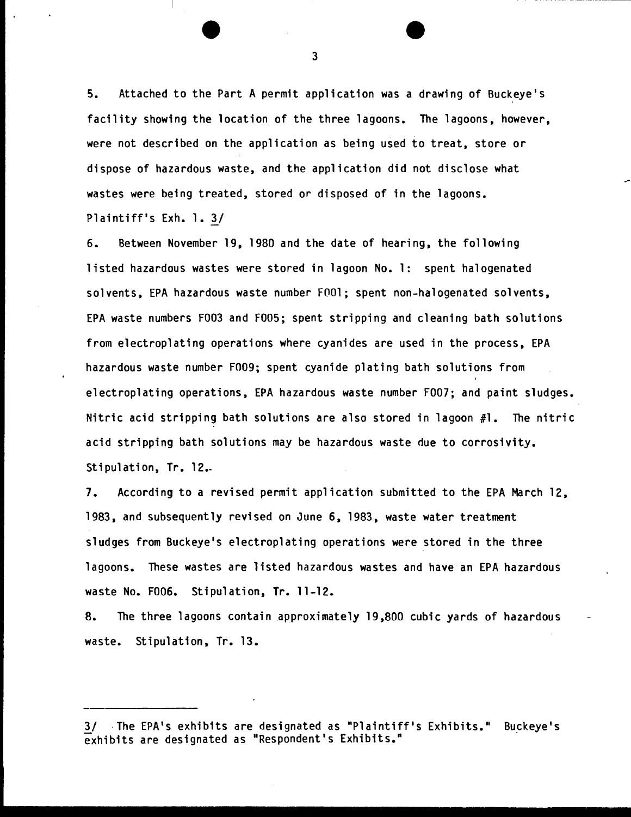5. Attached to the Part A permit application was a drawing of Buckeye's facility showing the location of the three lagoons. The lagoons, however, were not described on the application as being used to treat, store or dispose of hazardous waste, and the application did not disclose what wastes were being treated, stored or disposed of in the lagoons. Plaintiff's Exh. 1. 3/

6. Between November 19, 1980 and the date of hearing, the following listed hazardous wastes were stored in lagoon No.1: spent halogenated solvents, EPA hazardous waste number FOOl; spent non-halogenated solvents, EPA waste numbers F003 and F005; spent stripping and cleaning bath solutions from electroplating operations where cyanides are used in the process, EPA hazardous waste number F009; spent cyanide plating bath solutions from electroplating operations, EPA hazardous waste number F007; and paint sludges. Nitric acid stripping bath solutions are also stored in lagoon  $#1$ . The nitric acid stripping bath solutions may be hazardous waste due to corrosivity. Stipulation, Tr. 12.

*1.* According to a revised permit application submitted to the EPA March 12, 1983, and subsequently revised on June 6, 1983, waste water treatment sludges from Buckeye's electroplating operations were stored in the three lagoons. These wastes are listed hazardous wastes and have an EPA hazardous waste No. F006. Stipulation, Tr. 11-12.

8. The three lagoons contain approximately 19,800 cubic yards of hazardous waste. Stipulation, Tr. 13.

3/ The EPA's exhibits are designated as "Plaintiff's Exhibits." Buckeye's  $\mathbf{\bar{e}}$ xhibits are designated as "Respondent's Exhibits."

3

- ---------~-------------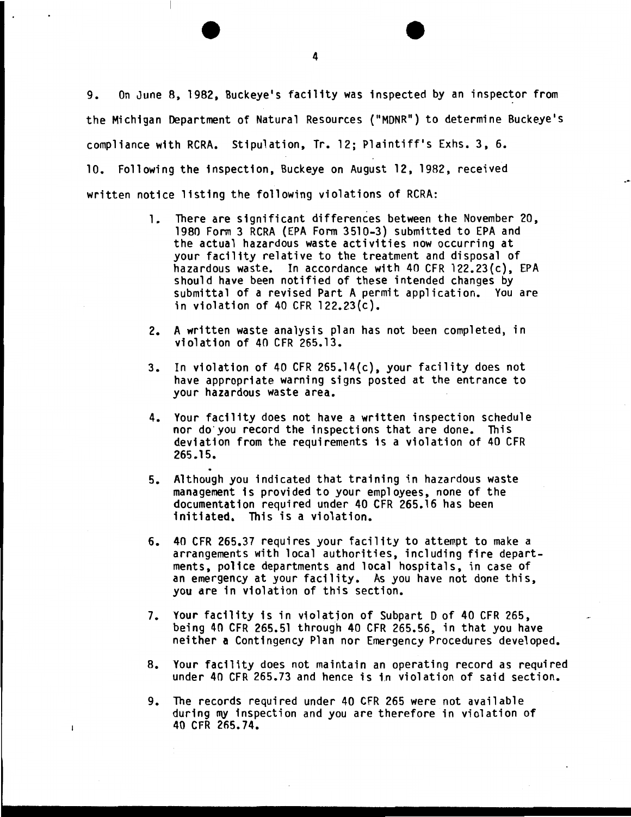9. On June B. 1982, Buckeye's facility was inspected by an inspector from the Michigan Department of Natural Resources ("MDNR") to determine Buckeye's compliance with RCRA. Stipulation, Tr. 12; Plaintiff's Exhs. 3, 6. 10. Following the inspection, Buckeye on August 12. 1982, received written notice listing the following violations of RCRA:

- 1. There are significant differences between the November 20. 1980 Form 3 RCRA (EPA Form 3510-3) submitted to EPA and the actual hazardous waste activities now occurring at your facility relative to the treatment and disposal of hazardous waste. In accordance with 40 CFR l22.23(c), EPA should have been notified of these intended changes by submittal of a revised Part A permit application. You are in violation of 40 CFR 122.23(c).
- 2. A written waste analysis plan has not been completed, in violation of 40 CFR 265.13.
- 3. In violation of 40 CFR 265.14(c), your facility does not have appropriate warning signs posted at the entrance to your hazardous waste area.
- 4. Your facility does not have a written inspection schedule nor do you record the inspections that are done. This deviation from the requirements is a violation of 40 CFR 265.15.
- 5. Although you indicated that training in hazardous waste management is provided to your employees. none of the documentation required under 40 CFR 265.16 has been initiated. This is a violation.
- 6. 40 CFR 265.37 requires your facility to attempt to make a arrangements with local authorities. including fire departments, police departments and local hospitals, in case of an emergency at your facility. As you have not done this, you are in violation of this section.
- 7. Your facility is in violation of Subpart D of 40 CFR 265, being 40 CFR 265.51 through 40 CFR 265.56, in that you have neither a Contingency Plan nor Emergency Procedures developed.
- B. Your facility does not maintain an operating record as required under 40 CFR 265.73 and hence is in violation of said section.
- 9. The records required under 40 CFR 265 were not available during my inspection and you are therefore in violation of 40 CFR 265.74.

 $\mathbf{l}$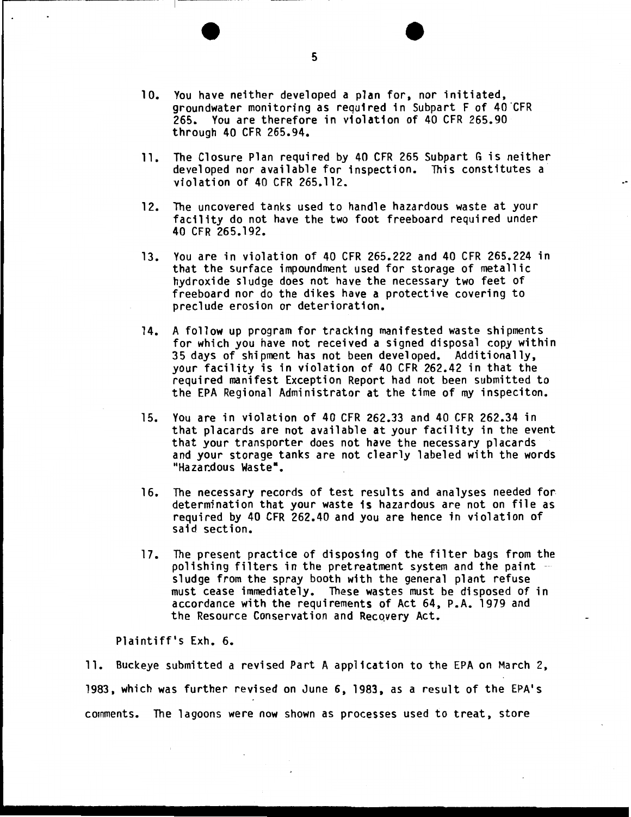- 10. You have neither developed a plan for, nor initiated, groundwater monitoring as required in Subpart F of 40 CFR 265. You are therefore in violation of 40 CFR 265.90 through 40 CFR 265.94.
- 11. The Closure Plan required by 40 CFR 265 Subpart G is neither developed nor available for inspection. This constitutes a violation of 40 CFR 265.112.
- 12. The uncovered tanks used to handle hazardous waste at your facility do not have the two foot freeboard required under 40 CFR 265.192.
- 13. You are in violation of 40 CFR 265.222 and 40 CFR 265.224 in that the surface impoundment used for storage of metallic hydroxide sludge does not have the necessary two feet of freeboard nor do the dikes have a protective covering to preclude erosion or deterioration.
- 14. A follow up program for tracking manifested waste shipments for which you have not received a signed disposal copy within 35 days of shipment has not been developed. Additionally, your facility is in violation of 40 CFR 262.42 in that the required manifest Exception Report had not been submitted to the EPA Regional Administrator at the time of my inspeciton.
- 15. You are in violation of 40 CFR 262.33 and 40 CFR 262.34 in that placards are not available at your facility in the event that your transporter does not have the necessary placards and your storage tanks are not clearly labeled with the words "Hazardous Waste".
- 16. The necessary records of test results and analyses needed for. determination that your waste is hazardous are not on file as required by 40 CFR 262.40 and you are hence in violation of said section.
- 17. The present practice of disposing of the filter bags from the polishing filters in the pretreatment system and the paint<br>sludge from the spray booth with the general plant refuse must cease immediately. These wastes must be disposed of in accordance with the requirements of Act 64, P.A. 1979 and the Resource Conservation and Recovery Act.

Plaintiff's Exh. 6.

11. Buckeye submitted a revised Part A application to the EPA on March 2, 1983, which was further revised on June 6, 1983, as a result of the EPA's comments. The lagoons were now shown as processes used to treat, store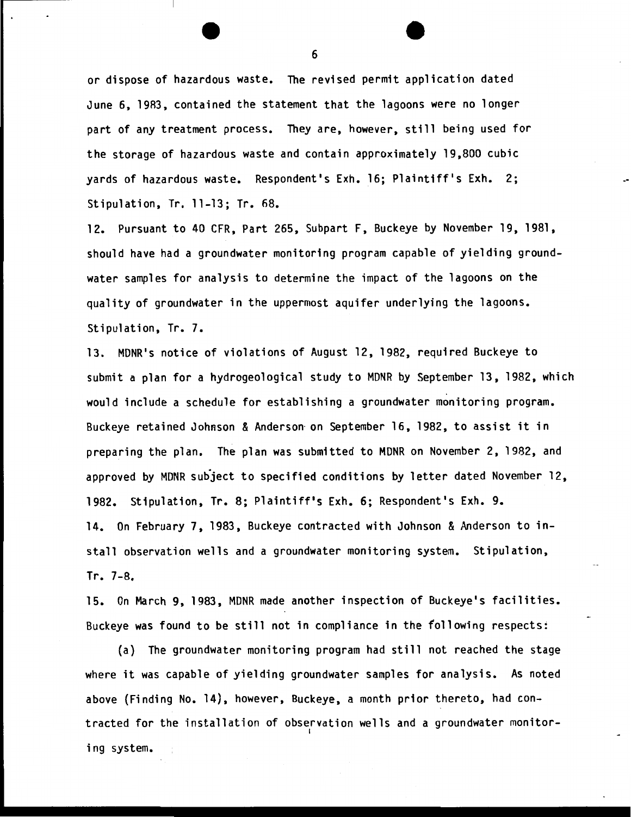or dispose of hazardous waste. The revised permit application dated June 6, 19R3, contained the statement that the lagoons were no longer part of any treatment process. They are, however, still being used for the storage of hazardous waste and contain approximately 19,800 cubic yards of hazardous waste. Respondent's Exh. 16; Plaintiff's Exh. 2; Stipulation, Tr. 11-13; Tr. 68.

12. Pursuant to 40 CFR, Part 265, Subpart F, Buckeye by November 19, 1981, should have had a groundwater monitoring program capable of yielding groundwater samples for analysis to determine the impact of the lagoons on the quality of groundwater in the uppermost aquifer underlying the lagoons. Stipulation, Tr. 7.

13. MDNR's notice of violations of August 12, 1982, required Buckeye to submit a plan for a hydrogeological study to MDNR by September 13, 1982, which would include a schedule for establishing a groundwater monitoring program. Buckeye retained Johnson & Anderson on September 16, 1982, to assist it in preparing the plan. The plan was submitted to MDNR on November 2, 1982, and approved by MDNR subject to specified conditions by letter dated November 12, 1982. Stipulation, Tr. 8; Plaintiff's Exh. 6; Respondent's Exh. 9. 14. On February 7, 1983, Buckeye contracted with Johnson & Anderson to install observation wells and a groundwater monitoring system. Stipulation, Tr. 7-8.

15. On March 9, 1983, MDNR made another inspection of Buckeye's facilities. Buckeye was found to be still not in compliance in the following respects:

(a) The groundwater monitoring program had still not reached the stage where it was capable of yielding groundwater samples for analysis. As noted above {Finding No. 14), however, Buckeye, a month prior thereto, had contracted for the installation of observation wells and a groundwater monitor ing system.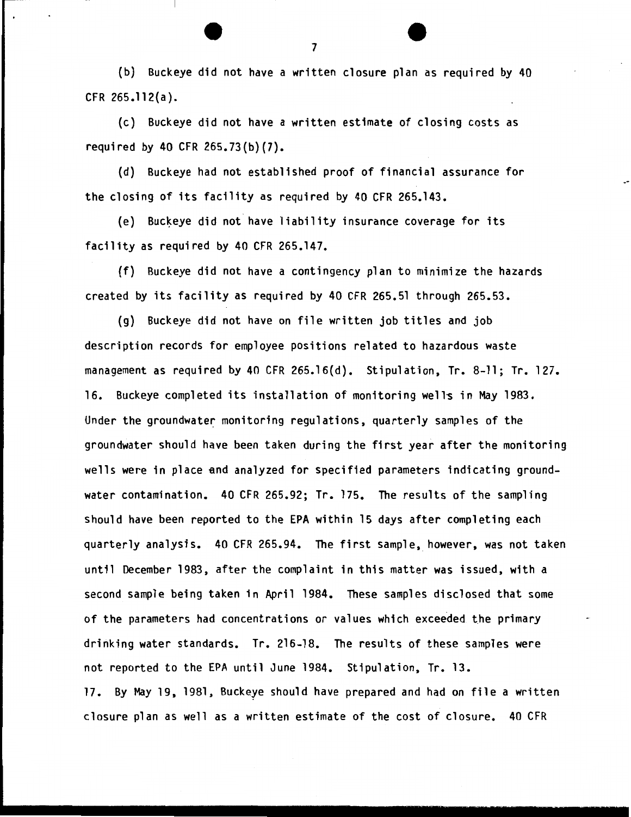{b) Buckeye did not have a written closure plan as required by 40 CFR 265.112(a).

(c) Buckeye did not have a written estimate of closing costs as required by 40 CFR 265.73{b}(7}.

(d) Buckeye had not established proof of financial assurance for the closing of its facility as required by 40 CFR 265.143.

(e) Buckeye did not have liability insurance coverage for its facility as required by 40 CFR 265.147.

(f) Buckeye did not have a contingency plan to minimize the hazards created by its facility as required by 40 CFR 265.51 through 265.53.

(g) Buckeye did not have on file written job titles and job description records for employee positions related to hazardous waste management as required by 40 CFR 265.16{d). Stipulation, Tr. 8-11; Tr. 127. 16. Buckeye completed its installation of monitoring well~ in May 1983. Under the groundwater monitoring regulations, quarterly samples of the groundwater should have been taken during the first year after the monitoring wells were in place and analyzed for specified parameters indicating groundwater contamination. 40 CFR 265.92; Tr. 175. The results of the sampling should have been reported to the EPA within 15 days after completing each quarterly analysis. 40 CFR 265.94. The first sample, however, was not taken until December 1983, after the complaint in this matter was issued, with a second sample being taken in April 1984. These samples disclosed that some of the parameters had concentrations or values which exceeded the primary drinking water standards. Tr. 216-18. The results of these samples were not reported to the EPA until June 1984. Stipulation, Tr. 13. 17. By May 19, 1981, Buckeye should have prepared and had on file a written closure plan as well as a written estimate of the cost of closure. 40 CFR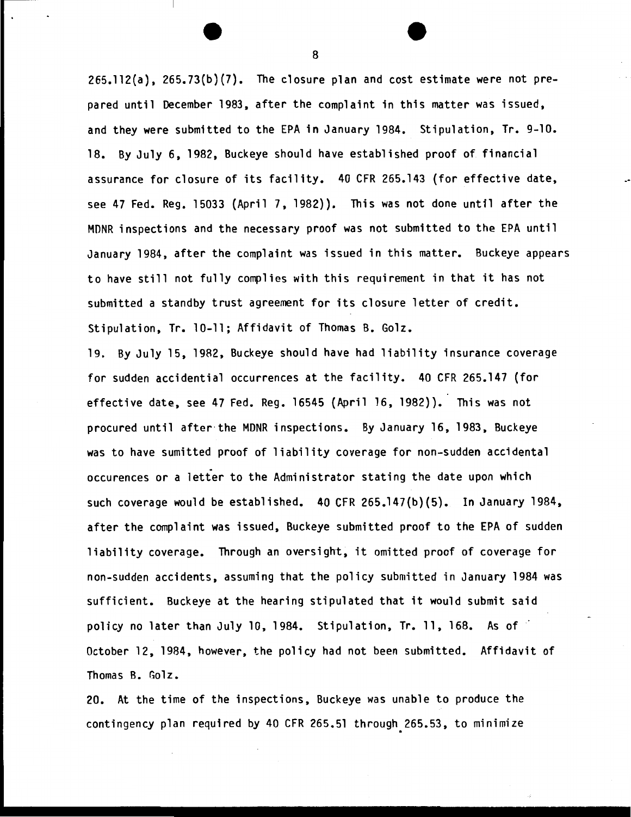265.112(a), 265.73(b)(7). The closure plan and cost estimate were not prepared until December 1983, after the complaint in this matter was issued, and they were submitted to the EPA in January 1984. Stipulation, Tr. 9-10. 18. By July 6, 1982, Buckeye should have established proof of financial assurance for closure of its facility. 40 CFR 265.143 (for effective date, see 47 Fed. Reg. 15033 (April 7, 1982)). This was not done until after the MONR inspections and the necessary proof was not submitted to the EPA until January 1984, after the complaint was issued in this matter. Buckeye appears to have still not fully complies with this requirement in that it has not submitted a standby trust agreement for its closure letter of credit. Stipulation, Tr. 10-11; Affidavit of Thomas B. Golz.

19. By July 15, 1982, Buckeye should have had liability insurance coverage for sudden accidential occurrences at the facility. 40 CFR 265.147 (for effective date, see 47 Fed. Reg. 16545 (April 16, 1982)). This was not procured until after· the MDNR inspections. By January 16, 1983, Buckeye was to have sumitted proof of liability coverage for non-sudden accidental occurences or a letter to the Administrator stating the date upon which such coverage would be established. 40 CFR 265.147{b){5). In January 1984, after the complaint was issued, Buckeye submitted proof to the EPA of sudden liability coverage. Through an oversight, it omitted proof of coverage for non-sudden accidents, assuming that the policy submitted in January 1984 was sufficient. Buckeye at the hearing stipulated that it would submit said policy no later than July 10, 1984. Stipulation, Tr. 11, 168. As of October 12, 1984, however, the policy had not been submitted. Affidavit of Thomas B. Golz.

20. At the time of the inspections, Buckeye was unable to produce the contingency plan required by 40 CFR 265.51 through.265.53, to minimize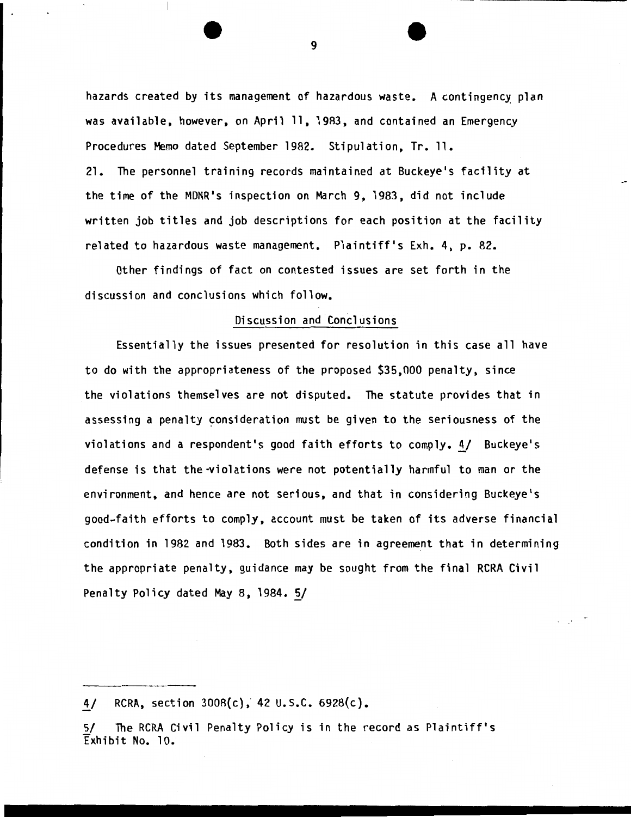hazards created by its management of hazardous waste. A contingency plan was available, however, on April 11, 1983, and contained an Emergency Procedures Memo dated September 1982. Stipulation, Tr. 11. 21. The personnel training records maintained at Buckeye's facility at the time of the MDNR's inspection on March 9, 1983, did not include written job titles and job descriptions for each position at the facility related to hazardous waste management. Plaintiff's Exh. 4, p. 82.

Other findings of fact on contested issues are set forth in the discussion and conclusions which follow.

#### Discussion and Conclusions

Essentially the issues presented for resolution in this case all have to do with the appropriateness of the proposed \$35,000 penalty, since the violations themselves are not disputed. The statute provides that in assessing a penalty consideration must be given to the seriousness of the violations and a respondent's good faith efforts to comply. 4/ Buckeye's defense is that the-violations were not potentially harmful to man or the environment, and hence are not serious, and that in considering Buckeye's good-faith efforts to comply, account must be taken of its adverse financial condition in 1982 and 1983. Both sides are in agreement that in determining the appropriate penalty, guidance may be sought from the final RCRA Civil Penalty Policy dated May 8, 1984. 5/

4/ RCRA, section  $3008(c)$ , 42 U.S.C. 6928 $(c)$ .

Sf The RCRA Civil Penalty Policy is in the record as Plaintiff's Exhibit No. 10.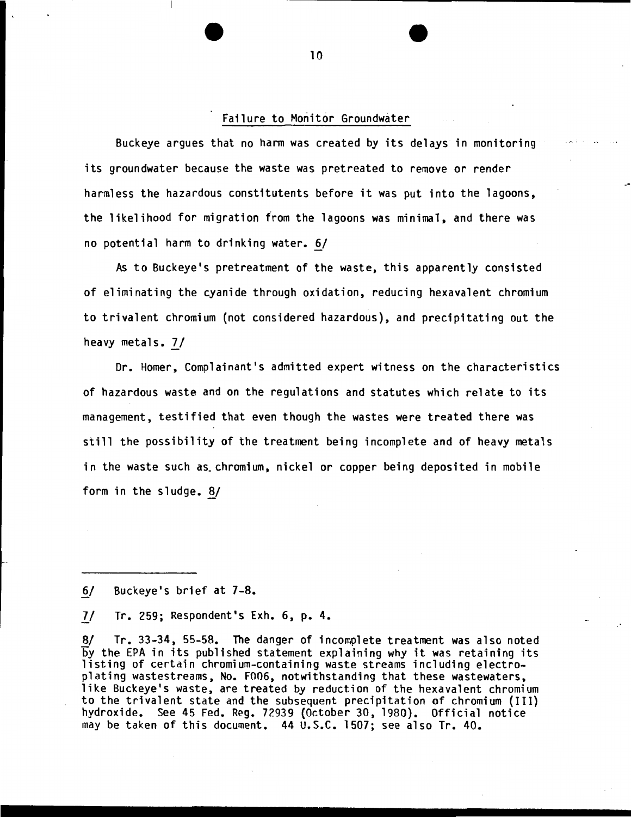#### Failure to Monitor Groundwater

Buckeye argues that no harm was created by its delays in monitoring its groundwater because the waste was pretreated to remove or render harmless the hazardous constitutents before it was put into the lagoons, the likelihood for migration from the lagoons was minimal, and there was no potential harm to drinking water.  $6/$ 

As to Buckeye's pretreatment of the waste, this apparently consisted of eliminating the cyanide through oxidation, reducing hexavalent chromium to trivalent chromium (not considered hazardous), and precipitating out the heavy metals. 7/

Dr. Homer, Complainant's admitted expert witness on the characteristics of hazardous waste and on the regulations and statutes which relate to its management, testified that even though the wastes were treated there was still the possibility of the treatment being incomplete and of heavy metals in the waste such as. chromium, nickel or copper being deposited in mobile form in the sludge. 8/

6/ Buckeye's brief at 7-8.

II Tr. 259; Respondent's Exh. 6, p. 4.

*81* Tr. 33-34, 55-58. The danger of incomplete treatment was also noted by the EPA in its published statement explaining why it was retaining its listing of certain chromium-containing waste streams including electroplating wastestreams, No. F006, notwithstanding that these wastewaters, like Buckeye's waste, are treated by reduction of the hexavalent chromium to the trivalent state and the subsequent precipitation of chromium (III} hydroxide. See 45 Fed. Reg. 72939 (October 30, 1980). Official notice may be taken of this document. 44 U.S.C. 1507; see also Tr. 40 •

.................................................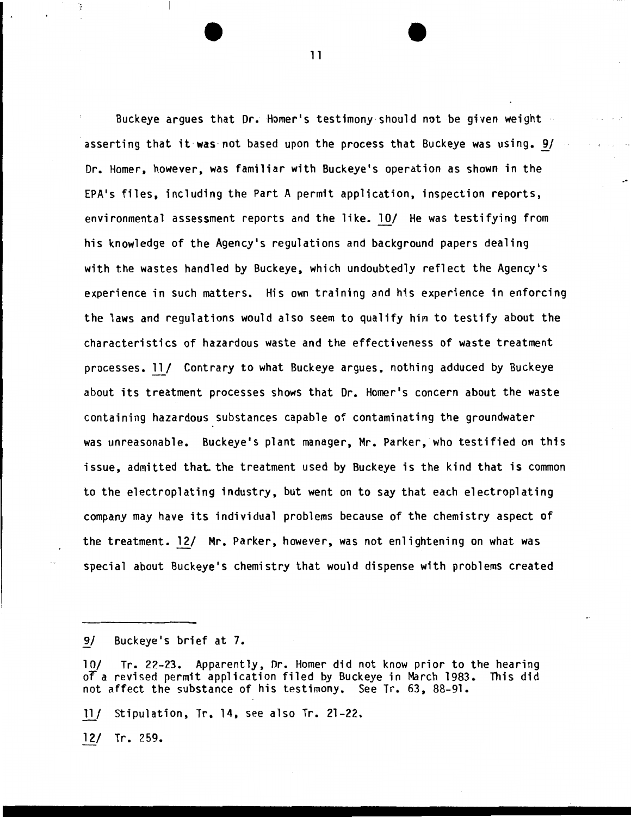Buckeye argues that Dr. Homer's testimony -should not be given weight asserting that it was not based upon the process that Buckeye was using.  $9/$ Dr. Homer, however, was familiar with Buckeye's operation as shown in the EPA's files, including the Part A permit application, inspection reports, environmental assessment reports and the like. lQ/ He was testifying from his knowledge of the Agency's regulations and background papers dealing with the wastes handled by Buckeye, which undoubtedly reflect the Agency's experience in such matters. His own training and his experience in enforcing the laws and regulations would also seem to qualify him to testify about the characteristics of hazardous waste and the effectiveness of waste treatment processes. 11/ Contrary to what Buckeye argues, nothing adduced by Buckeye about its treatment processes shows that Dr. Homer's concern about the waste containing hazardous substances capable of contaminating the groundwater was unreasonable. Buckeye's plant manager, Mr. Parker, who testified on this issue, admitted that the treatment used by Buckeye is the kind that is common to the electroplating industry, but went on to say that each electroplating company may have its individual problems because of the chemistry aspect of the treatment. 12/ Mr. Parker, however, was not enlightening on what was special about Buckeye's chemistry that would dispense with problems created

}l/ Stipulation, Tr. 14, see also Tr. 21-22.

*}1\_1* Tr. 259.

٠,

<sup>9/</sup> Buckeye's brief at 7.

<sup>10/</sup> Tr. 22-23. Apparently, Dr. Homer did not know prior to the hearing<br>of a revised permit application filed by Buckeye in March 1983. This did of a revised permit application filed by Buckeye in March 1983. not affect the substance of his testimony. See Tr. 63, 88-91.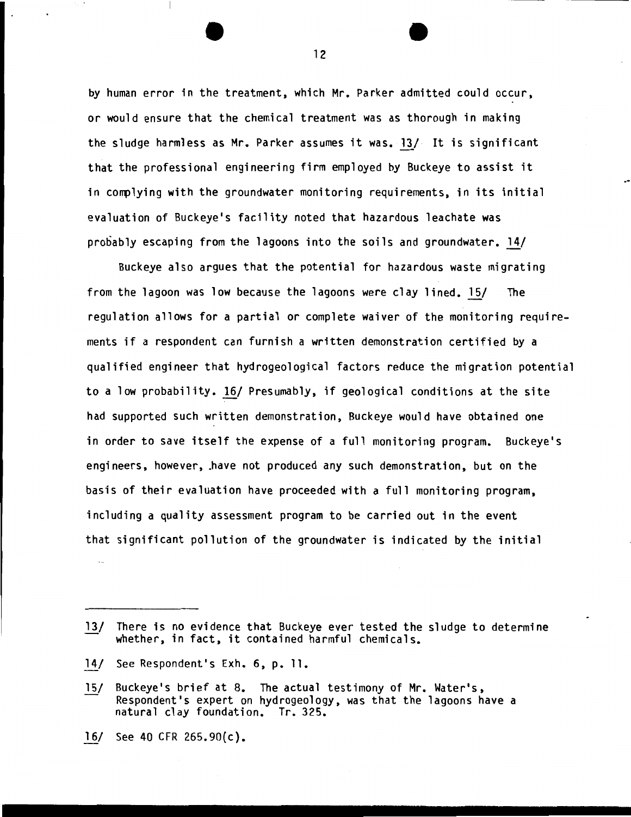by human error in the treatment, which Mr. Parker admitted could occur, or would ensure that the chemical treatment was as thorough in making the sludge harmless as Mr. Parker assumes it was. 13/ It is significant that the professional engineering firm employed by Buckeye to assist it in complying with the groundwater monitoring requirements, in its initial evaluation of Buckeye's facility noted that hazardous leachate was probably escaping from the lagoons into the soils and groundwater. 14/

Buckeye also argues that the potential for hazardous waste migrating from the lagoon was low because the lagoons were clay lined. 15/ The regulation allows for a partial or complete waiver of the monitoring requirements if a respondent can furnish a written demonstration certified by a qualified engineer that hydrogeological factors reduce the migration potential to a low probability. 16/ Presumably, if geological conditions at the site had supported such written demonstration, Buckeye would have obtained one in order to save itself the expense of a full monitoring program. Buckeye's engineers, however, .have not produced any such demonstration, but on the basis of their evaluation have proceeded with a full monitoring program, including a quality assessment program to be carried out in the event that significant pollution of the groundwater is indicated by the initial

- 13/ There is no evidence that Buckeye ever tested the sludge to determine whether, in fact, it contained harmful chemicals.
- 14/ See Respondent's Exh. 6, p. 11.
- 15/ Buckeye's brief at 8. The actual testimony of Mr. Water's, Respondent's expert on hydrogeology, was that the lagoons have a natural clay foundation. Tr. 325.
- 16/ See 40 CFR 265.90(c).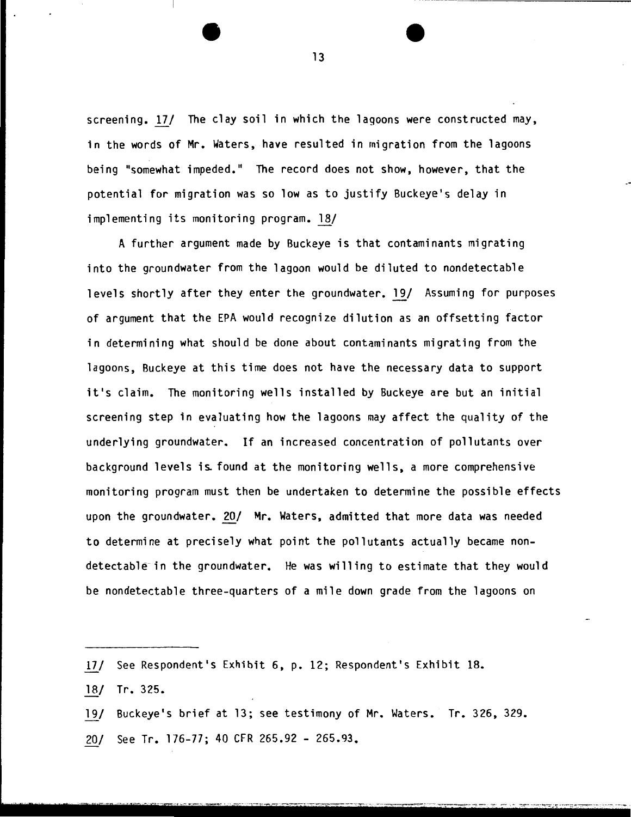screening. *121* The clay soil in which the lagoons were constructed may, in the words of Mr. Waters, have resulted in migration from the lagoons being "somewhat impeded." The record does not show, however, that the potential for migration was so low as to justify Buckeye's delay in  $implementing$  its monitoring program.  $18/$ 

A further argument made by Buckeye is that contaminants migrating into the groundwater from the lagoon would be diluted to nondetectable levels shortly after they enter the groundwater. 19/ Assuming for purposes of argument that the EPA would recognize dilution as an offsetting factor in determining what should be done about contaminants migrating from the lagoons, Buckeye at this time does not have the necessary data to support it's claim. The monitoring wells installed by Buckeye are but an initial screening step in evaluating how the lagoons may affect the quality of the underlying groundwater. If an increased concentration of pollutants over background levels is found at the monitoring wells, a more comprehensive monitoring program must then be undertaken to determine the possible effects upon the groundwater. 20/ Mr. Waters, admitted that more data was needed to determine at precisely what point the pollutants actually became nondetectable in the groundwater. He was willing to estimate that they would be nondetectable three-quarters of a mile down grade from the lagoons on

- *121* See Respondent's Exhibit 6, p. 12; Respondent's Exhibit 18.
- 18/ Tr. 325.
- 19/ Buckeye's brief at 13; see testimony of Mr. Waters. Tr. 326, 329.
- 20/ See Tr. 176-77; 40 CFR 265.92- 265.93.

13

. ·· ····· ··-·-·------ ------ ---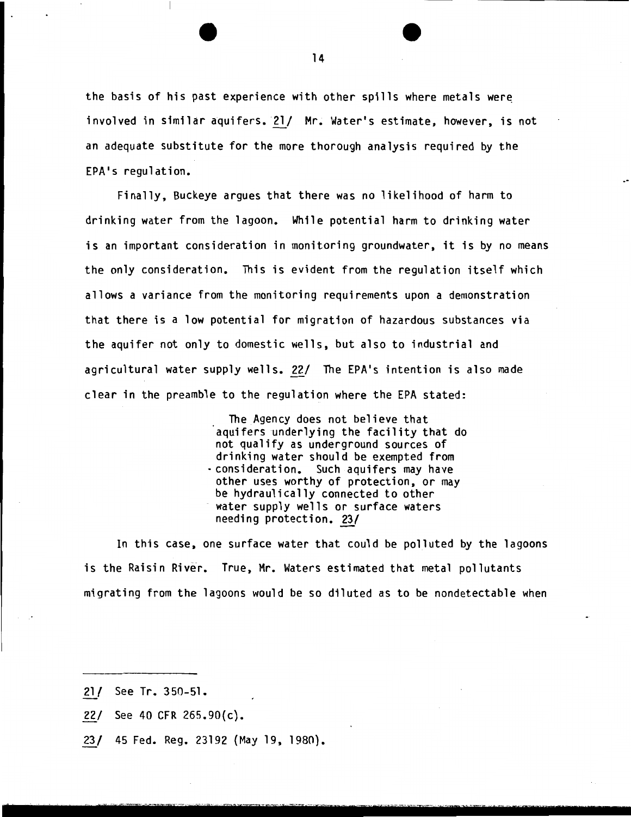the basis of his past experience with other spills where metals were involved in similar aquifers. 21/ Mr. Water's estimate, however, is not an adequate substitute for the more thorough analysis required by the EPA's regulation.

Finally, Buckeye argues that there was no likelihood of harm to drinking water from the lagoon. While potential harm to drinking water is an important consideration in monitoring groundwater, it is by no means the only consideration. This is evident from the regulation itself which allows a variance from the monitoring requirements upon a demonstration that there is a low potential for migration of hazardous substances via the aquifer not only to domestic wells, but also to industrial and agricultural water supply wells. 22/ The EPA's intention is also made clear in the preamble to the regulation where the EPA stated:

> The Agency does not believe that aquifers underlying the facility that do not qualify as underground sources of drinking water should be exempted from -consideration. Such aquifers may have other uses worthy of protection, or may be hydraulically connected to other water supply wells or surface waters needing protection. 23/

~' . - - - .. - - . - <sup>~</sup>- . - -

In this case, one surface water that could be polluted by the lagoons is the Raisin River. True, Mr. Waters estimated that metal pollutants migrating from the lagoons would be so diluted as to be nondetectable when

- 21/ See Tr. 350-51.
- 22/ See 40 CFR  $265.90(c)$ .
- 23/ 45 Fed. Reg. 23192 (May 19, 1980).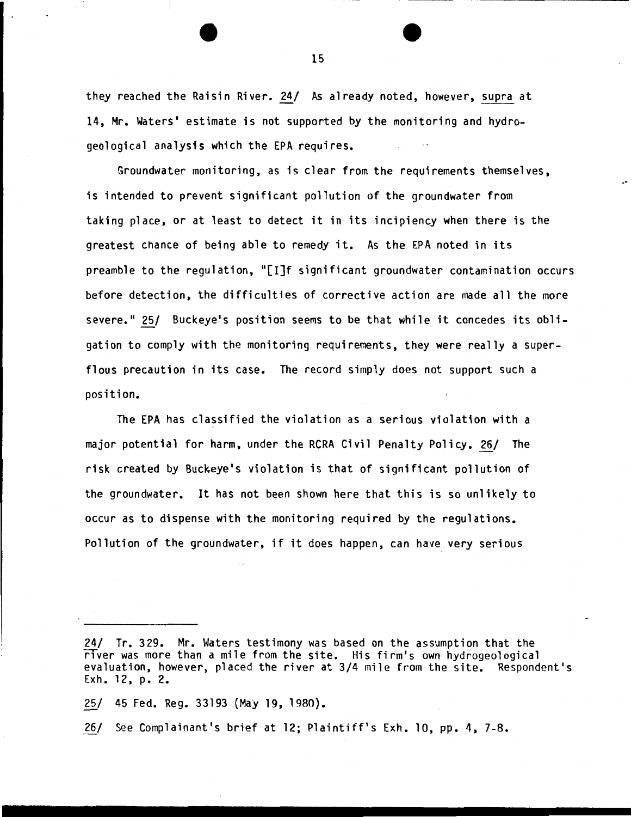they reached the Raisin River. 24/ As already noted, however, supra at 14, Mr. Waters' estimate is not supported by the monitoring and hydrogeological analysis which the EPA requires.

Groundwater monitoring, as is clear from the requirements themselves, is intended to prevent significant pollution of the groundwater from taking place, or at least to detect it in its incipiency when there is the greatest chance of being able to remedy it. As the EPA noted in its preamble to the regulation, "[I]f significant groundwater contamination occurs before detection, the difficulties of corrective action are made all the more severe." 25/ Buckeye's position seems to be that while it concedes its obligation to comply with the monitoring requirements, they were really a superflous precaution in its case. The record simply does not support such a position.

The EPA has classified the violation as a serious violation with a major potential for harm, under the RCRA Civil Penalty Policy. 26/ The risk created by Buckeye's violation is that of significant pollution of the groundwater. It has not been shown here that this is so unlikely to occur as to dispense with the monitoring required by the regulations. Pollution of the groundwater, if it does happen, can have very serious

26/ See Complainant's brief at 12; Plaintiff's Exh. 10, pp. 4, 7-8.

<sup>24/</sup> Tr. 329. Mr. Waters testimony was based on the assumption that the rfver was more than a mile from the site. His firm's own hydrogeological evaluation, however, placed the river at 3/4 mile from the site. Respondent's Exh. 12, p. 2.

<sup>25/ 45</sup> Fed. Reg. 33193 (May 19, 1980).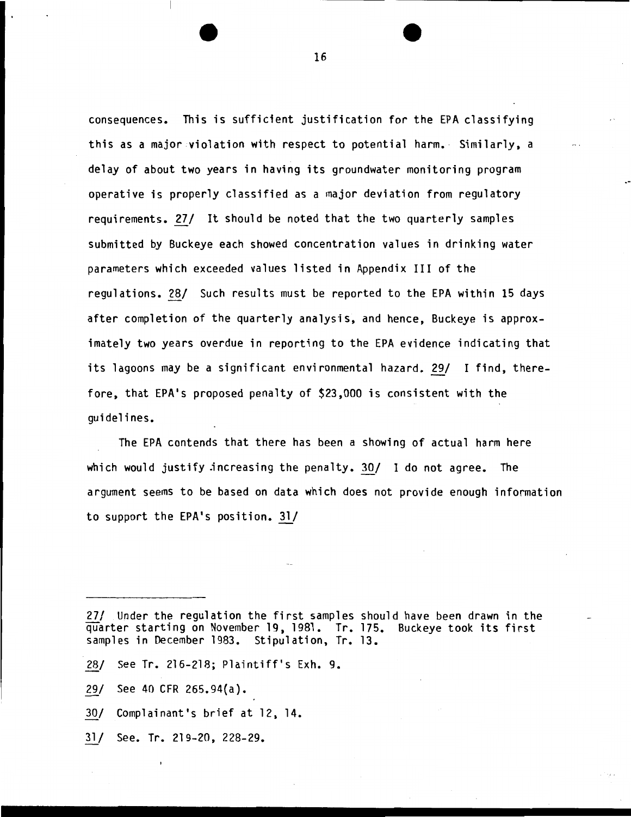consequences. This is sufficient justification for the EPA classifying this as a major violation with respect to potential harm. Similarly, a delay of about two years in having its groundwater monitoring program operative is properly classified as a major deviation from regulatory requirements. 27/ It should be noted that the two quarterly samples submitted by Buckeye each showed concentration values in drinking water parameters which exceeded values listed in Appendix III of the regulations. 28/ Such results must be reported to the EPA within 15 days after completion of the quarterly analysis, and hence, Buckeye is approximately two years overdue in reporting to the EPA evidence indicating that its lagoons may be a significant environmental hazard. 29/ I find, therefore, that EPA's proposed penalty of \$23,000 is consistent with the guidelines.

The EPA contends that there has been a showing of actual harm here which would justify jncreasing the penalty. 30/ I do not agree. The argument seems to be based on data which does not provide enough information to support the EPA's position.  $31/$ 

- 28/ See Tr. 216-218; Plaintiff's Exh. 9.
- 29/ See 40 CFR 265.94{a).
- 30/ Complainant's brief at 12, 14.
- 31/ See. Tr. 219-20, 228-29.

<sup>27/</sup> Under the regulation the first samples should have been drawn in the quarter starting on November 19, 1981. Tr. 175. Buckeye took its first samples in December 1983. Stipulation, Tr. 13.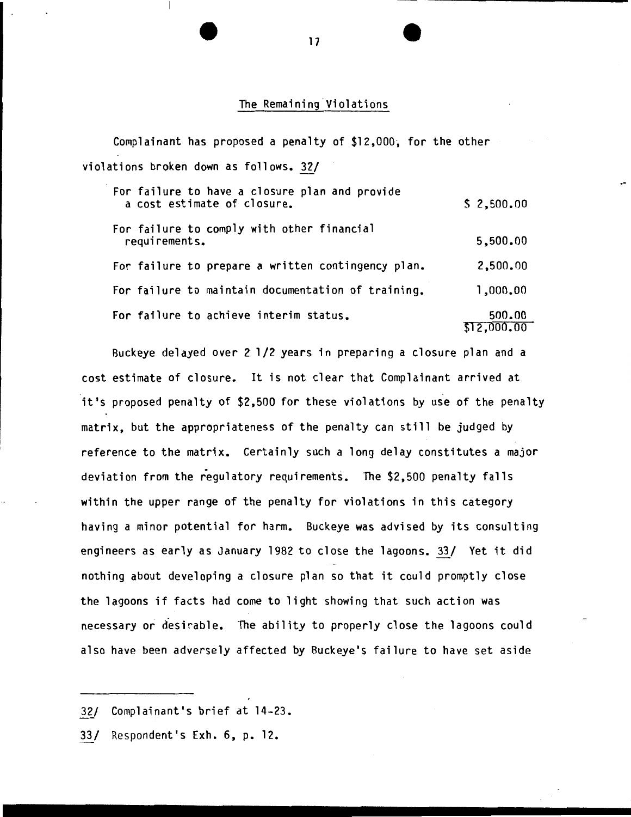#### The Remaining Violations

Complainant has proposed a penalty of \$12,000; for the other violations broken down as follows. 32/

| For failure to have a closure plan and provide<br>a cost estimate of closure. | \$2,500.00            |
|-------------------------------------------------------------------------------|-----------------------|
| For failure to comply with other financial<br>requirements.                   | 5,500.00              |
| For failure to prepare a written contingency plan.                            | 2,500.00              |
| For failure to maintain documentation of training.                            | 1,000.00              |
| For failure to achieve interim status.                                        | 500.00<br>\$12,000,00 |
|                                                                               |                       |

Buckeye delayed over 2 1/2 years in preparing a closure plan and a cost estimate of closure. It is not clear that Complainant arrived at it's proposed penalty of \$2,500 for these violations by use of the penalty matrix, but the appropriateness of the penalty can still be judged by reference to the matrix. Certainly such a long delay constitutes a major deviation from the regulatory requirements. The \$2,500 penalty falls within the upper range of the penalty for violations in this category having a minor potential for harm. Buckeye was advised by its consulting engineers as early as January 1982 to close the lagoons. 33/ Yet it did nothing about developing a closure plan so that it could promptly close the lagoons if facts had come to light showing that such action was necessary or desirable. The ability to properly close the lagoons could also have been adversely affected by Buckeye's failure to have set aside

<sup>32/</sup> Complainant's brief at 14-23.

*<sup>!</sup>ll* Respondent's Exh. 6, p. 12.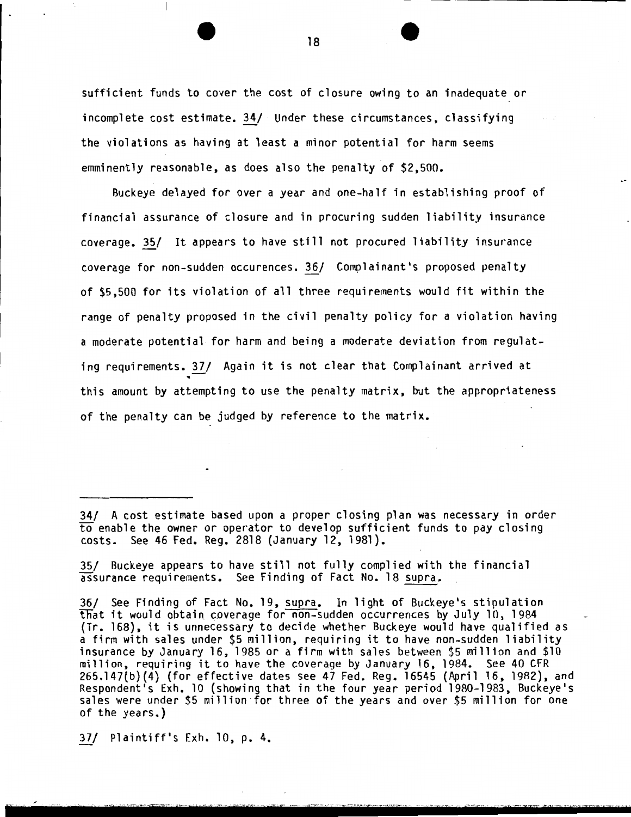sufficient funds to cover the cost of closure owing to an inadequate or incomplete cost estimate. 34/ · Under these circumstances, classifying the violations as having at least a minor potential for harm seems emminently reasonable, as does also the penalty of \$2,500.

Buckeye delayed for over a year and one-half in establishing proof of financial assurance of closure and in procuring sudden liability insurance coverage.~/ It appears to have still not procured liability insurance coverage for non-sudden occurences. 36/ Complainant's proposed penalty of \$5,500 for its violation of all three requirements would fit within the range of penalty proposed in the civil penalty policy for a violation having a moderate potential for harm and being a moderate deviation from regulating requirements. 37/ Again it is not clear that Complainant arrived at<br>this amount by attempting to use the penalty matrix, but the appropriateness of the penalty can be judged by reference to the matrix.

35/ Buckeye appears to have still not fully complied with the financial assurance requirements. See Finding of Fact No. 18 supra.

36/ See Finding of Fact No. 19, supra. In light of Buckeye's stipulation that it would obtain coverage for non-sudden occurrences by July 10, 1984 (Tr. 168), it is unnecessary to decide whether Buckeye would have qualified as a firm with sales under \$5 million, requiring it to have non-sudden liability insurance by January 16, 1985 or a firm with sales between \$5 million and \$10 million, requiring it to have the coverage by January 16, 1984. See 40 CFR 265.147{b){4) {for effective dates see 47 Fed. Reg. 16545 (April 16, 1982), and Respondent's Exh. 10 {showing that in the four year period 1980-1983, Buckeye's sales were under \$5 million for three of the years and over \$5 million for one of the years.)

*lll* Plaintiff's Exh. 10, p. 4.

<sup>34/</sup> A cost estimate based upon a proper closing plan was necessary in order to enable the owner or operator to develop sufficient funds to pay closing costs. See 46 Fed. Reg. 2818 (January 12, 1981).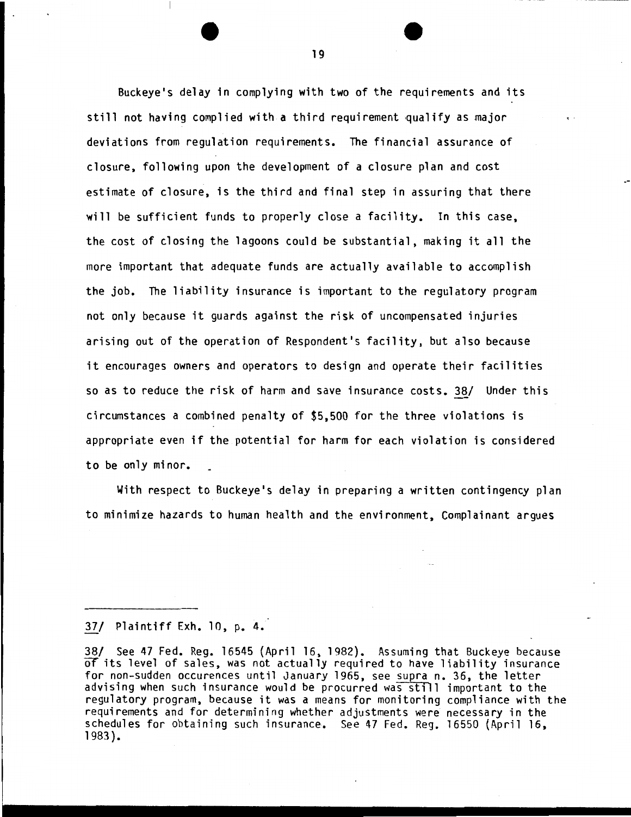Buckeye's delay in complying with two of the requirements and its still not having complied with a third requirement qualify as major deviations from regulation requirements. The financial assurance of closure, following upon the development of a closure plan and cost estimate of closure, is the third and final step in assuring that there will be sufficient funds to properly close a facility. In this case, the cost of closing the lagoons could be substantial, making it all the more important that adequate funds are actually available to accomplish the job. The liability insurance is important to the regulatory program not only because it guards against the risk of uncompensated injuries arising out of the operation of Respondent's facility, but also because it encourages owners and operators to design and operate their facilities so as to reduce the risk of harm and save insurance costs. 38/ Under this circumstances a combined penalty of \$5,500 for the three violations is appropriate even if the potential for harm for each violation is considered to be only minor.

With respect to Buckeye's delay in preparing a written contingency plan to minimize hazards to human health and the environment, Complainant argues

## *lii* Plaintiff Exh. 10, p. 4.

38/ See 47 Fed. Reg. 16545 (April 16, 1982). Assuming that Buckeye because *OT* its level of sales, was not actually required to have liability insurance for non-sudden occurences until January 1965, see supra n. 36, the letter advising when such insurance would be procurred was still important to the regulatory program, because it was a means for monitoring compliance with the requirements and for determining whether adjustments were necessary in the schedules for obtaining such insurance. See 47 Fed. Reg. 16550 (April 16, 1983).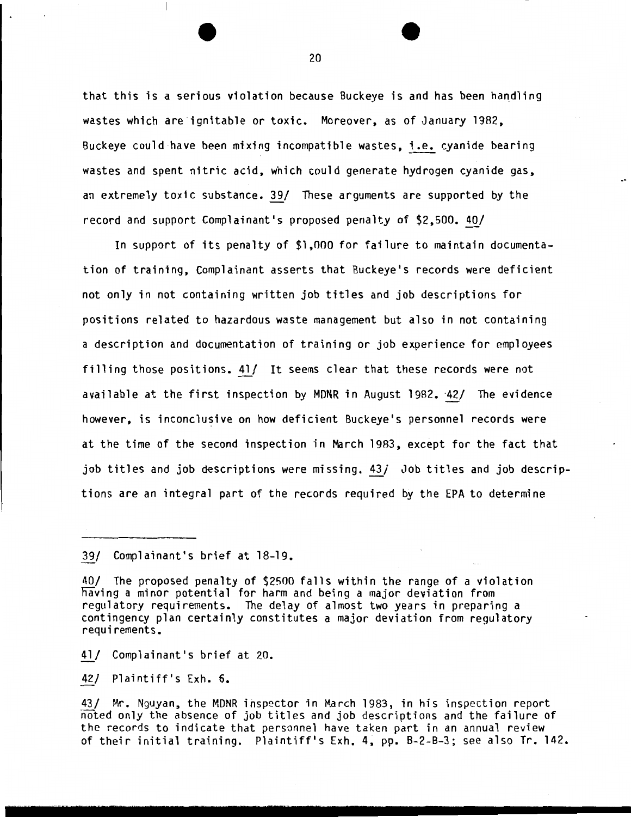that this is a serious violation because Buckeye is and has been handling wastes which are ignitable or toxic. Moreover, as of January 1982, Buckeye could have been mixing incompatible wastes, i.e. cyanide bearing wastes and spent nitric acid, which could generate hydrogen cyanide gas, an extremely toxic substance. 39/ These arguments are supported by the record and support Complainant's proposed penalty of \$2,500. 40/

In support of its penalty of \$1,000 for failure to maintain documentation of training, Complainant asserts that Buckeye's records were deficient not only in not containing written job titles and job descriptions for positions related to hazardous waste management but also in not containing a description and documentation of training or job experience for employees filling those positions. 41/ It seems clear that these records were not available at the first inspection by MDNR in August 1982. 42/ The evidence however, is inconclusive on how deficient Buckeye's personnel records were at the time of the second inspection in March 1983, except for the fact that job titles and job descriptions were missing. 43/ Job titles and job descriptions are an integral part of the records required by the EPA to determine

*ill* Complainant's brief at 20.

421 Plaintiff's Exh. 6.

431 Mr. Nguyan, the MDNR inspector in March 1983, in his inspection report noted only the absence of job titles and job descriptions and the failure of the records to indicate that personnel have taken part in an annual review of their initial training. Plaintiff's Exh. 4, pp. B-2-B-3; see also Tr. 142.

*<sup>391</sup>* Complainant's brief at 18-19.

<sup>401</sup> The proposed penalty of \$2500 falls within the range of a violation naving a minor potential for harm and being a major deviation from regulatory requirements. The delay of almost two years in preparing a contingency plan certainly constitutes a major deviation from regulatory requirements.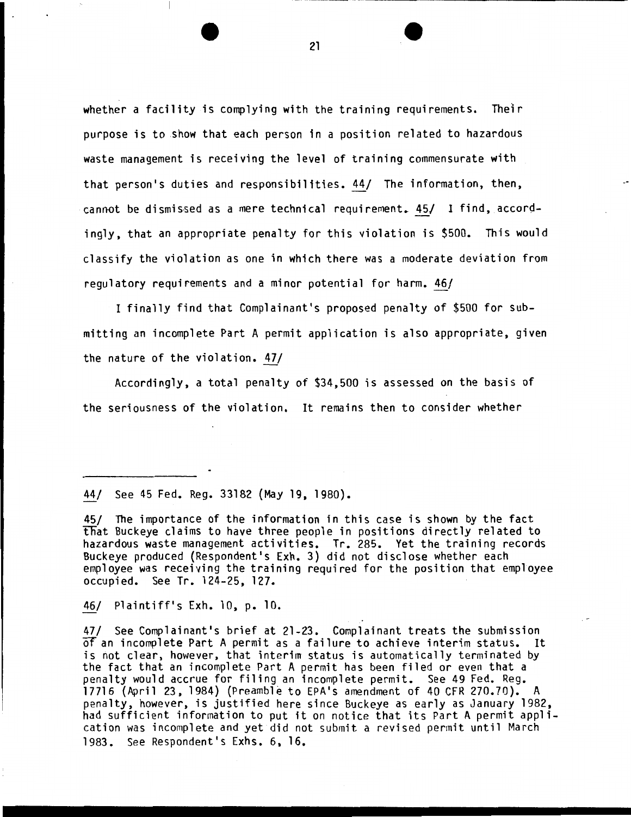whether a facility is complying with the training requirements. Their purpose is to .show that each person in a position related to hazardous waste management is receiving the level of training commensurate with that person's duties and responsibilities. 44/ The information, then, cannot be dismissed as a mere technical requirement. 45/ I find, accordingly, that an appropriate penalty for this violation is \$500. This would classify the violation as one in which there was a moderate deviation from regulatory requirements and a minor potential for harm. 46/

I finally find that Complainant's proposed penalty of \$500 for submitting an incomplete Part A permit application is also appropriate, given the nature of the violation. 47/

Accordingly, a total penalty of \$34,500 is assessed on the basis of the seriousness of the violation. It remains then to consider whether

#### 44/ See 45 Fed. Reg. 33182 (May 19, 1980).

45/ The importance of the information in this case is shown by the fact that Buckeye claims to have three people in positions directly related to hazardous waste management activities. Tr. 285. Yet the training records Buckeye produced {Respondent's Exh. 3) did not disclose whether each employee was receiving the training required for the position that employee occupied. See Tr. 124-25, 127.

46/ Plaintiff's Exh. 10, p. 10.

47/ See Complainant's brief at 21-23. Complainant treats the submission Of an incomplete Part A permit as a failure to achieve interim status. It is not clear, however, that interim status is automatically terminated by the fact that an incomplete Part A permit has been filed or even that a penalty would accrue for filing an incomplete permit. See 49 Fed. Reg. 17716 {April 23, 1984) {Preamble to EPA's amendment of 40 CFR 270.70). A penalty, however, is justified here since Buckeye as early as January 1982, had sufficient information to put it on notice that its Part A permit application was incomplete and yet did not submit a revised permit until March 1983. See Respondent's Exhs. 6, 16.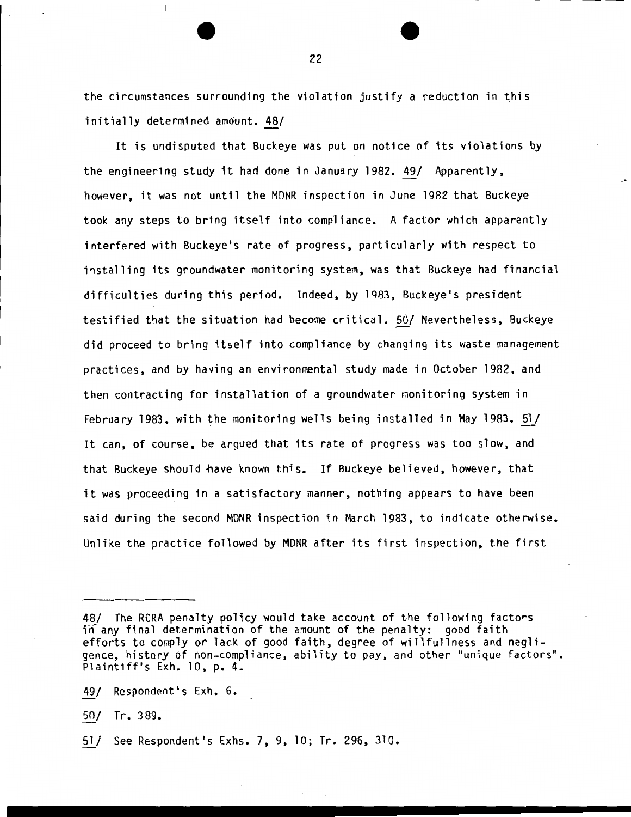the circumstances surrounding the violation justify a reduction in this initially determined amount. 48/

It is undisputed that Buckeye was put on notice of its violations by the engineering study it had done in January 1982.  $49/$  Apparently, however, it was not until the MDNR inspection in June 1982 that Buckeye took any steps to bring itself into compliance. A factor which apparently interfered with Buckeye's rate of progress, particularly with respect to installing its groundwater monitoring system, was that Buckeye had financial difficulties during this period. Indeed, by 1983, Buckeye's president testified that the situation had become critical. 50/ Nevertheless, Buckeye did proceed to bring itself into compliance by changing its waste management practices, and by having an environmental study made in October 1982, and then contracting for installation of a groundwater monitoring system in February 1983, with the monitoring wells being installed in May 1983.  $51/$ It can, of course, be argued that its rate of progress was too slow, and that Buckeye should have known this. If Buckeye believed, however, that it was proceeding in a satisfactory manner, nothing appears to have been said during the second MDNR inspection in March 1983, to indicate otherwise. Unlike the practice followed by MDNR after its first inspection, the first

49/ Respondent's Exh. 6.

50/ Tr. 389.

51/ See Respondent's Exhs. 7, 9, 10; Tr. 296, 310.

<sup>48/</sup> The RCRA penalty policy would take account of the following factors Tn any final determination of the amount of the penalty: good faith efforts to comply or lack of good faith, degree of willfullness and negligence, history of non-compliance, ability to pay, and other "unique factors". Plaintiff's Exh. 10, p. 4.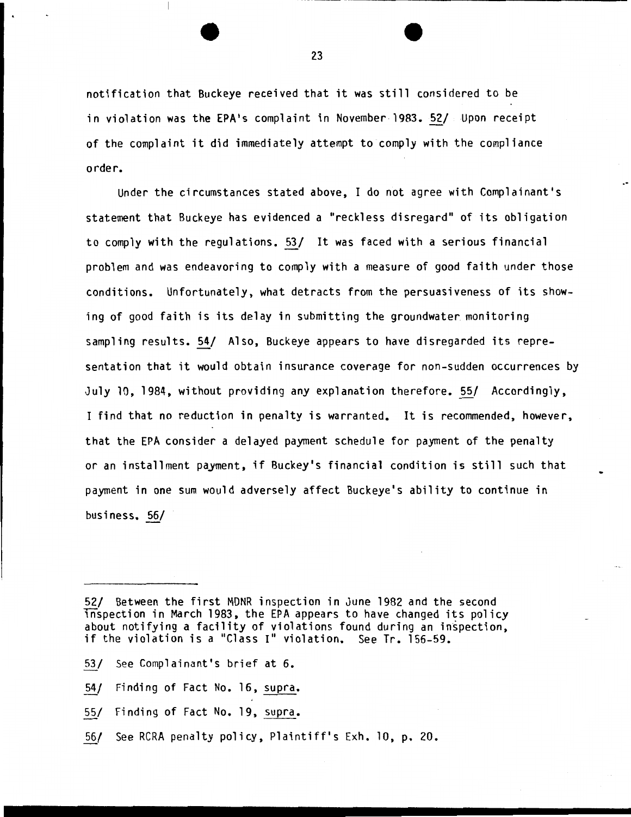notification that Buckeye received that it was still considered to be in violation was the EPA's complaint in November 1983. 52/ Upon receipt of the complaint it did immediately attempt tocomply with the compliance order.

Under the circumstances stated above, I do not agree with Complainant's statement that Buckeye has evidenced a "reckless disregard" of its obligation to comply with the regulations. 53/ It was faced with a serious financial problem and was endeavoring to comply with a measure of good faith under those conditions. Unfortunately, what detracts from the persuasiveness of its showing of good faith is its delay in submitting the groundwater monitoring sampling results. 54/ Also, Buckeye appears to have disregarded its representation that it would obtain insurance coverage for non-sudden occurrences by July 10, 1984, without providing any explanation therefore. 55/ Accordingly, I find that no reduction in penalty is warranted. It is recommended, however, that the EPA consider a delayed payment schedule for payment of the penalty or an installment payment, if Buckey's financial condition is still such that payment in one sum would adversely affect Buckeye's ability to continue in business. 56/

- 53/ See Complainant's brief at 6.
- 54/ Finding of Fact No. 16, supra.
- 55/ Finding of Fact No. 19, supra.
- 56/ See RCRA penalty policy, Plaintiff's Exh. 10, p. 20.

<sup>52/</sup> Between the first MDNR inspection in June 1982 and the second Tnspection in March 1983, the EPA appears to have changed its policy about notifying a facility of violations found during an inspection, if the violation is a "Class I" violation. See Tr. 156-59.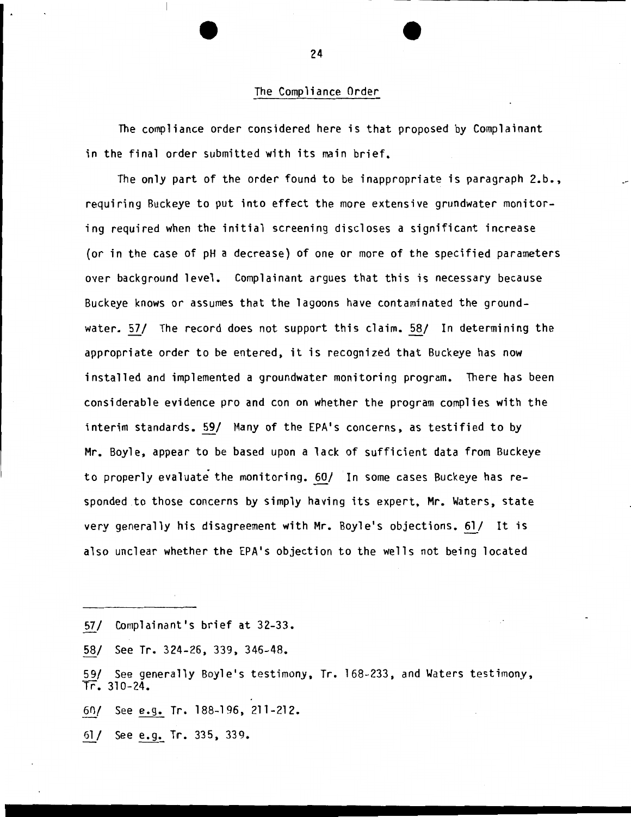## The Compliance Order

The compliance order considered here is that proposed by Complainant in the final order submitted with its main brief.

The only part of the order found to be inappropriate is paragraph 2.b., requiring Buckeye to put into effect the more extensive grundwater monitoring required when the initial screening discloses a significant increase {or in the case of pH a decrease) of one or more of the specified parameters over background level. Complainant argues that this is necessary because Buckeye knows or assumes that the lagoons have contaminated the groundwater. 57/ The record does not support this claim. 58/ In determining the appropriate order to be entered, it is recognized that Buckeye has now installed and implemented a groundwater monitoring program. There has been considerable evidence pro and con on whether the program complies with the interim standards. 59/ Many of the EPA's concerns, as testified to by Mr. Boyle, appear to be based upon a lack of sufficient data from Buckeye to properly evaluate the monitoring. 60/ In some cases Buckeye has responded .to those concerns by simply having its expert, Mr. Waters, state very generally his disagreement with Mr. Boyle's objections. 61/ It is also unclear whether the EPA's objection to the wells not being located

- 57/ Complainant's brief at 32-33.
- 58/ See Tr. 324-26, 339, 346-48.
- 59/ See generally Boyle's testimony, Tr. 168-233, and Waters testimony,  $Tr. 310-24.$
- 6()/ See e.g. Tr. 188-196, 211-212.
- §l/ See e.g. Tr. 335, 339.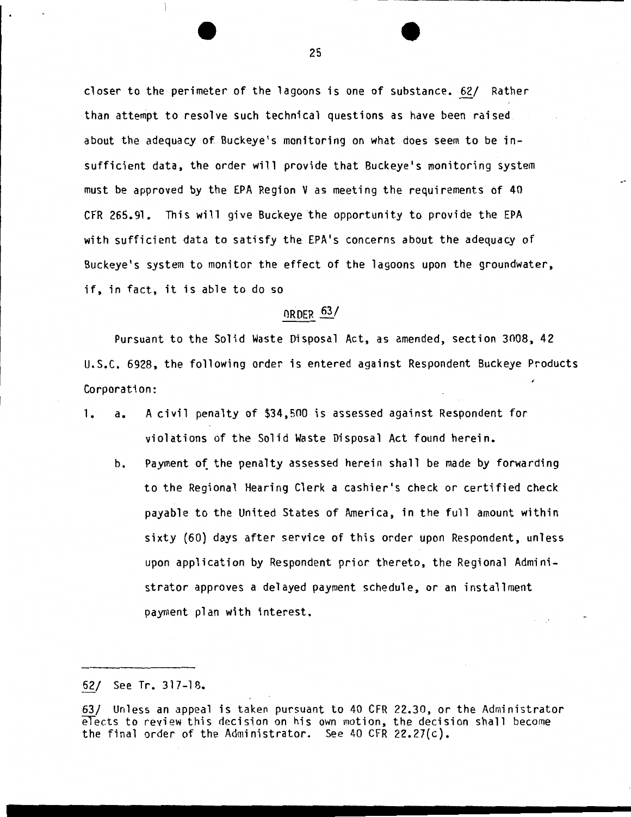closer to the perimeter of the lagoons is one of substance. 62/ Rather than attempt to resolve such technical questions as have been raised. about the adequacy of Buckeye's monitoring on what does seem to be insufficient data, the order will provide that Buckeye's monitoring system must be approved by the EPA Region V as meeting the requirements of 40 CFR 265.91. This will give Buckeye the opportunity to provide the EPA with sufficient data to satisfy the EPA's concerns about the adequacy of Buckeye's system to monitor the effect of the lagoons upon the groundwater, if, in fact, it is able to do so

# ORDER *§i/*

Pursuant to the Solid Waste Disposal Act, as amended, section 3008, 42 U.S.C. 6928, the following order is entered against Respondent Buckeye Products Corporation:

- 1. a. A civil penalty of \$34,500 is assessed against Respondent for violations of the Solid Waste Disposal Act found herein.
	- b. Payment of the penalty assessed herein shall be made by forwarding to the Regional Hearing Clerk a cashier's check or certified check payable to the United States of America, in the full amount within sixty {60) days after service of this order upon Respondent, unless upon application by Respondent prior thereto, the Regional Administrator approves a delayed payment schedule, or an installment payment plan with interest.

62/ See Tr. 317-18.

<sup>63/</sup> Unless an appeal is taken pursuant to 40 CFR 22.30, or the Administrator elects to review this decision on his own motion, the decision shall become the final order of the Administrator. See 40 CFR 22.27{c).